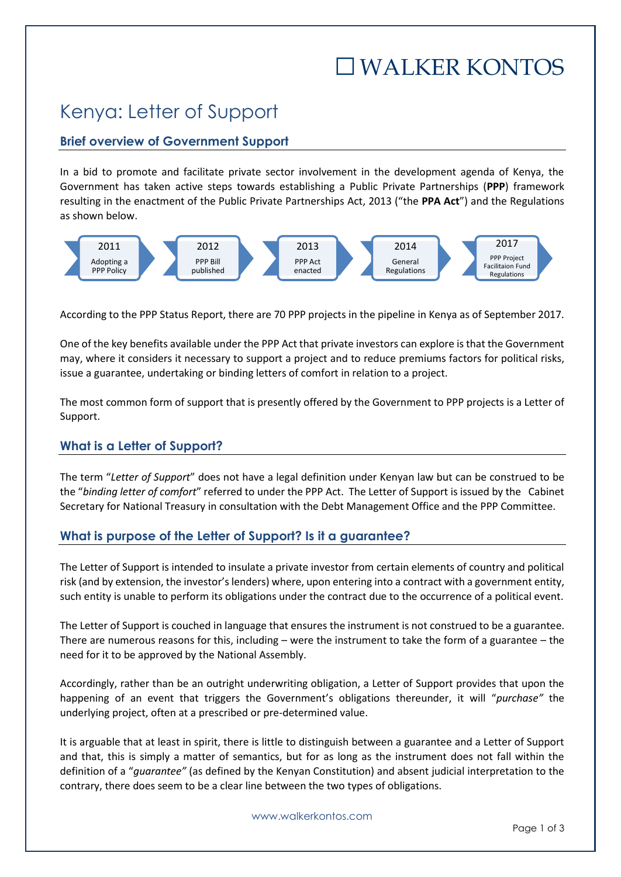# □WALKER KONTOS

## Kenya: Letter of Support

### **Brief overview of Government Support**

In a bid to promote and facilitate private sector involvement in the development agenda of Kenya, the Government has taken active steps towards establishing a Public Private Partnerships (**PPP**) framework resulting in the enactment of the Public Private Partnerships Act, 2013 ("the **PPA Act**") and the Regulations as shown below.



According to the PPP Status Report, there are 70 PPP projects in the pipeline in Kenya as of September 2017.

One of the key benefits available under the PPP Act that private investors can explore is that the Government may, where it considers it necessary to support a project and to reduce premiums factors for political risks, issue a guarantee, undertaking or binding letters of comfort in relation to a project.

The most common form of support that is presently offered by the Government to PPP projects is a Letter of Support.

### **What is a Letter of Support?**

The term "*Letter of Support*" does not have a legal definition under Kenyan law but can be construed to be the "*binding letter of comfort*" referred to under the PPP Act. The Letter of Support is issued by the Cabinet Secretary for National Treasury in consultation with the Debt Management Office and the PPP Committee.

#### **What is purpose of the Letter of Support? Is it a guarantee?**

The Letter of Support is intended to insulate a private investor from certain elements of country and political risk (and by extension, the investor's lenders) where, upon entering into a contract with a government entity, such entity is unable to perform its obligations under the contract due to the occurrence of a political event.

The Letter of Support is couched in language that ensures the instrument is not construed to be a guarantee. There are numerous reasons for this, including – were the instrument to take the form of a guarantee – the need for it to be approved by the National Assembly.

Accordingly, rather than be an outright underwriting obligation, a Letter of Support provides that upon the happening of an event that triggers the Government's obligations thereunder, it will "*purchase"* the underlying project, often at a prescribed or pre-determined value.

It is arguable that at least in spirit, there is little to distinguish between a guarantee and a Letter of Support and that, this is simply a matter of semantics, but for as long as the instrument does not fall within the definition of a "*guarantee"* (as defined by the Kenyan Constitution) and absent judicial interpretation to the contrary, there does seem to be a clear line between the two types of obligations.

www.walkerkontos.com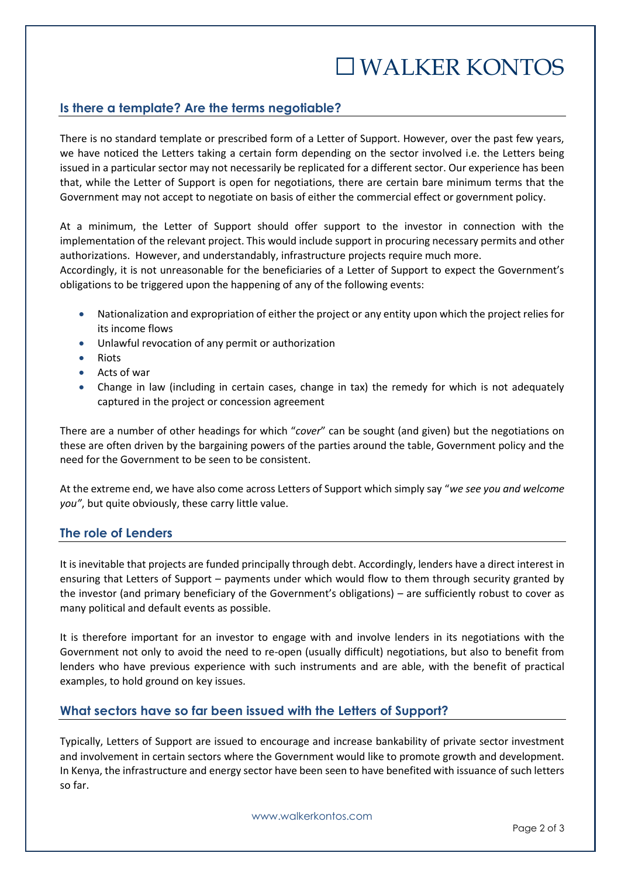# □WALKER KONTOS

### **Is there a template? Are the terms negotiable?**

There is no standard template or prescribed form of a Letter of Support. However, over the past few years, we have noticed the Letters taking a certain form depending on the sector involved i.e. the Letters being issued in a particular sector may not necessarily be replicated for a different sector. Our experience has been that, while the Letter of Support is open for negotiations, there are certain bare minimum terms that the Government may not accept to negotiate on basis of either the commercial effect or government policy.

At a minimum, the Letter of Support should offer support to the investor in connection with the implementation of the relevant project. This would include support in procuring necessary permits and other authorizations. However, and understandably, infrastructure projects require much more.

Accordingly, it is not unreasonable for the beneficiaries of a Letter of Support to expect the Government's obligations to be triggered upon the happening of any of the following events:

- Nationalization and expropriation of either the project or any entity upon which the project relies for its income flows
- Unlawful revocation of any permit or authorization
- Riots
- Acts of war
- Change in law (including in certain cases, change in tax) the remedy for which is not adequately captured in the project or concession agreement

There are a number of other headings for which "*cover*" can be sought (and given) but the negotiations on these are often driven by the bargaining powers of the parties around the table, Government policy and the need for the Government to be seen to be consistent.

At the extreme end, we have also come across Letters of Support which simply say "*we see you and welcome you"*, but quite obviously, these carry little value.

#### **The role of Lenders**

It is inevitable that projects are funded principally through debt. Accordingly, lenders have a direct interest in ensuring that Letters of Support – payments under which would flow to them through security granted by the investor (and primary beneficiary of the Government's obligations) – are sufficiently robust to cover as many political and default events as possible.

It is therefore important for an investor to engage with and involve lenders in its negotiations with the Government not only to avoid the need to re-open (usually difficult) negotiations, but also to benefit from lenders who have previous experience with such instruments and are able, with the benefit of practical examples, to hold ground on key issues.

### **What sectors have so far been issued with the Letters of Support?**

Typically, Letters of Support are issued to encourage and increase bankability of private sector investment and involvement in certain sectors where the Government would like to promote growth and development. In Kenya, the infrastructure and energy sector have been seen to have benefited with issuance of such letters so far.

www.walkerkontos.com